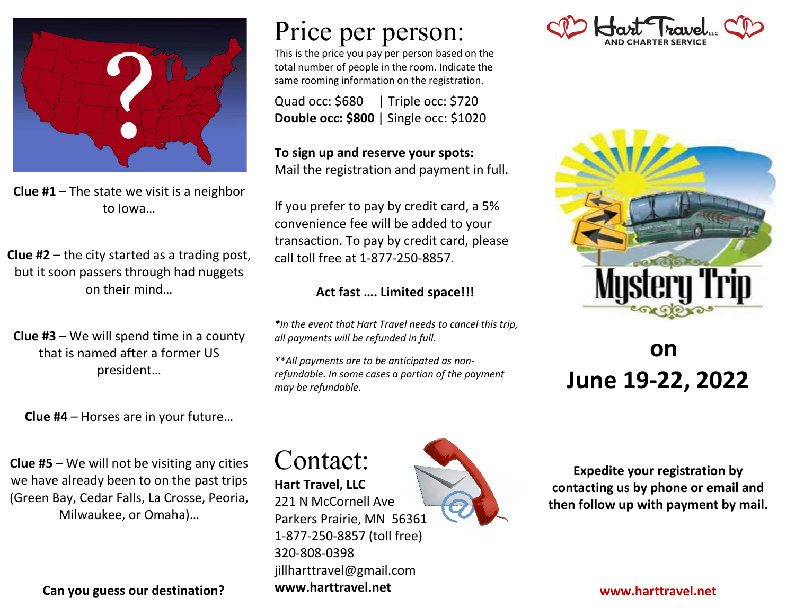

**Clue #1** – The state we visit is a neighbor to Iowa…

**Clue #2** – the city started as a trading post, but it soon passers through had nuggets on their mind…

**Clue #3** – We will spend time in a county that is named after a former US president…

**Clue #4** – Horses are in your future…

**Clue #5** – We will not be visiting any cities we have already been to on the past trips (Green Bay, Cedar Falls, La Crosse, Peoria, Milwaukee, or Omaha)…

**Can you guess our destination?**

## Price per person:

This is the price you pay per person based on the total number of people in the room. Indicate the same rooming information on the registration.

Quad occ: \$680| Triple occ: \$720 **Double occ: \$800** | Single occ: \$1020

**To sign up and reserve your spots:** Mail the registration and payment in full.

If you prefer to pay by credit card, a 5% convenience fee will be added to your transaction. To pay by credit card, please call toll free at 1-877-250-8857.

#### **Act fast …. Limited space!!!**

*\*In the event that Hart Travel needs to cancel this trip, all payments will be refunded in full.*

*\*\*All payments are to be anticipated as nonrefundable. In some cases a portion of the payment may be refundable.*





### **on June 19-22, 2022**

Contact: **Hart Travel, LLC**

221 N McCornell Ave Parkers Prairie, MN 56361 1-877-250-8857 (toll free) 320-808-0398 jillharttravel@gmail.com **www.harttravel.net**



**Expedite your registration by contacting us by phone or email and then follow up with payment by mail.**